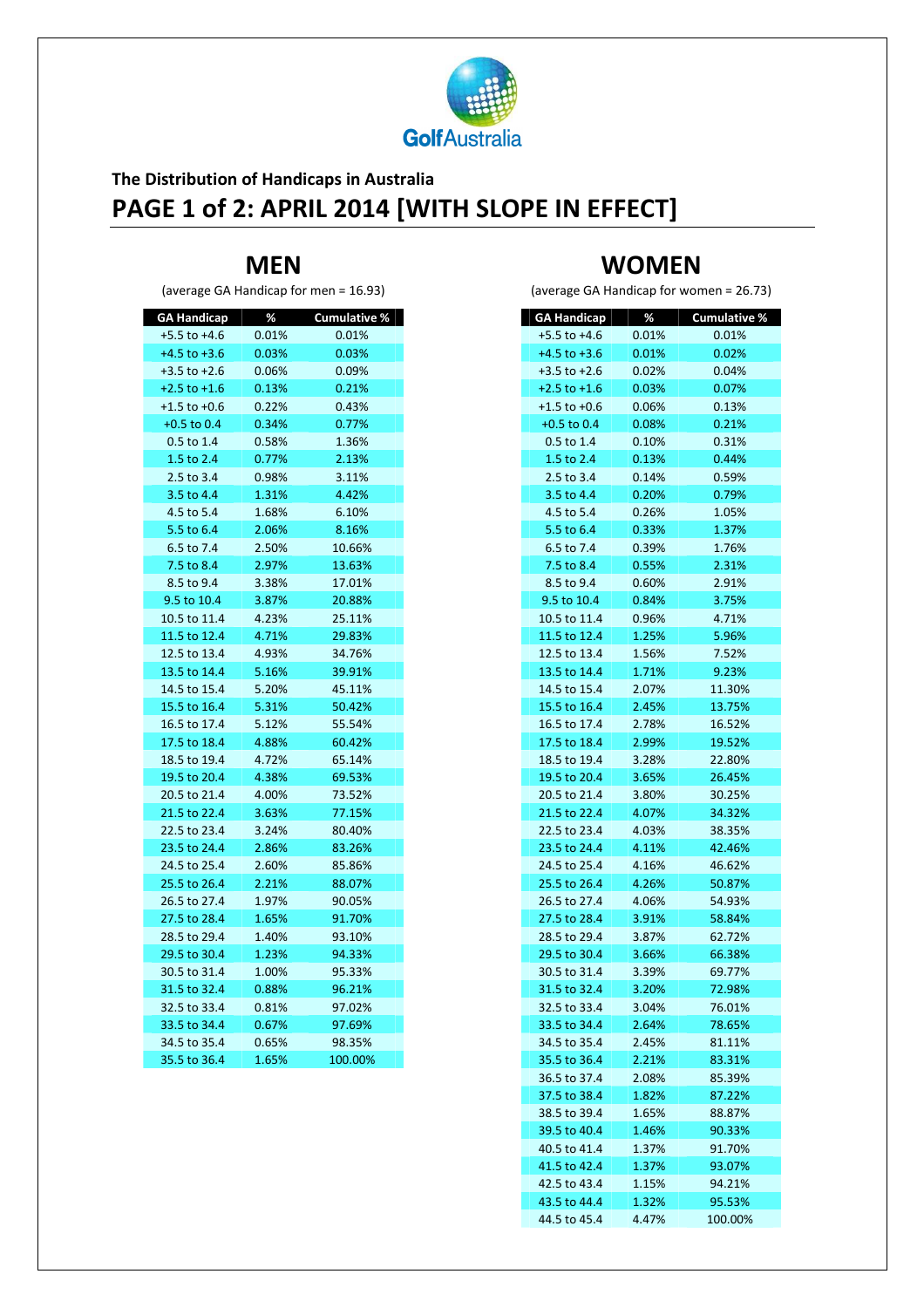

## **The Distribution of Handicaps in Australia PAGE 1 of 2: APRIL 2014 [WITH SLOPE IN EFFECT]**

#### **MEN**

(average GA Handicap for men = 16.93)

|       | <b>Cumulative %</b>                                                                                     |
|-------|---------------------------------------------------------------------------------------------------------|
| 0.01% | 0.01%                                                                                                   |
| 0.03% | 0.03%                                                                                                   |
| 0.06% | 0.09%                                                                                                   |
| 0.13% | 0.21%                                                                                                   |
| 0.22% | 0.43%                                                                                                   |
| 0.34% | 0.77%                                                                                                   |
| 0.58% | 1.36%                                                                                                   |
| 0.77% | 2.13%                                                                                                   |
| 0.98% | 3.11%                                                                                                   |
| 1.31% | 4.42%                                                                                                   |
| 1.68% | 6.10%                                                                                                   |
| 2.06% | 8.16%                                                                                                   |
| 2.50% | 10.66%                                                                                                  |
| 2.97% | 13.63%                                                                                                  |
| 3.38% | 17.01%                                                                                                  |
| 3.87% | 20.88%                                                                                                  |
| 4.23% | 25.11%                                                                                                  |
| 4.71% | 29.83%                                                                                                  |
| 4.93% | 34.76%                                                                                                  |
| 5.16% | 39.91%                                                                                                  |
| 5.20% | 45.11%                                                                                                  |
| 5.31% | 50.42%                                                                                                  |
| 5.12% | 55.54%                                                                                                  |
| 4.88% | 60.42%                                                                                                  |
| 4.72% | 65.14%                                                                                                  |
| 4.38% | 69.53%                                                                                                  |
|       | 73.52%                                                                                                  |
| 3.63% | 77.15%                                                                                                  |
| 3.24% | 80.40%                                                                                                  |
| 2.86% | 83.26%                                                                                                  |
|       | 85.86%                                                                                                  |
| 2.21% | 88.07%                                                                                                  |
|       | 90.05%                                                                                                  |
|       | 91.70%                                                                                                  |
|       | 93.10%                                                                                                  |
|       | 94.33%                                                                                                  |
|       | 95.33%                                                                                                  |
| 0.88% | 96.21%                                                                                                  |
|       | 97.02%                                                                                                  |
|       | 97.69%                                                                                                  |
|       | 98.35%                                                                                                  |
|       | 100.00%                                                                                                 |
|       | $\%$<br>4.00%<br>2.60%<br>1.97%<br>1.65%<br>1.40%<br>1.23%<br>1.00%<br>0.81%<br>0.67%<br>0.65%<br>1.65% |

# **WOMEN**

(average GA Handicap for women = 26.73)

| <b>GA Handicap</b><br>$+5.5$ to $+4.6$ | %<br>$0.01\%$ | <b>Cumulative %</b><br>0.01% |
|----------------------------------------|---------------|------------------------------|
| $+4.5$ to $+3.6$                       | 0.01%         | 0.02%                        |
| $+3.5$ to $+2.6$                       | 0.02%         | 0.04%                        |
| $+2.5$ to $+1.6$                       | 0.03%         | 0.07%                        |
| $+1.5$ to $+0.6$                       | 0.06%         | 0.13%                        |
| $+0.5$ to 0.4                          | 0.08%         | 0.21%                        |
| $0.5$ to 1.4                           | 0.10%         | 0.31%                        |
| 1.5 to 2.4                             | 0.13%         | 0.44%                        |
| 2.5 to 3.4                             | 0.14%         | 0.59%                        |
| 3.5 to 4.4                             | 0.20%         | 0.79%                        |
| 4.5 to 5.4                             | 0.26%         | 1.05%                        |
| 5.5 to 6.4                             | 0.33%         | 1.37%                        |
| 6.5 to 7.4                             | 0.39%         | 1.76%                        |
| 7.5 to 8.4                             | 0.55%         | 2.31%                        |
| 8.5 to 9.4                             | 0.60%         | 2.91%                        |
| 9.5 to 10.4                            | 0.84%         | 3.75%                        |
| 10.5 to 11.4                           | 0.96%         | 4.71%                        |
| 11.5 to 12.4                           | 1.25%         | 5.96%                        |
| 12.5 to 13.4                           | 1.56%         | 7.52%                        |
| 13.5 to 14.4                           | 1.71%         | 9.23%                        |
| 14.5 to 15.4                           | 2.07%         | 11.30%                       |
| 15.5 to 16.4                           | 2.45%         | 13.75%                       |
| 16.5 to 17.4                           | 2.78%         | 16.52%                       |
| 17.5 to 18.4                           | 2.99%         | 19.52%                       |
| 18.5 to 19.4                           | 3.28%         | 22.80%                       |
| 19.5 to 20.4                           | 3.65%         | 26.45%                       |
| 20.5 to 21.4                           | 3.80%         | 30.25%                       |
| 21.5 to 22.4                           | 4.07%         | 34.32%                       |
| 22.5 to 23.4                           | 4.03%         | 38.35%                       |
| 23.5 to 24.4                           | 4.11%         | 42.46%                       |
| 24.5 to 25.4                           | 4.16%         | 46.62%                       |
| 25.5 to 26.4                           | 4.26%         | 50.87%                       |
| 26.5 to 27.4                           | 4.06%         | 54.93%                       |
| 27.5 to 28.4                           | 3.91%         | 58.84%                       |
| 28.5 to 29.4                           | 3.87%         | 62.72%                       |
| 29.5 to 30.4                           | 3.66%         | 66.38%                       |
| 30.5 to 31.4                           | 3.39%         | 69.77%                       |
| 31.5 to 32.4                           | 3.20%         | 72.98%                       |
| 32.5 to 33.4                           | 3.04%         | 76.01%                       |
| 33.5 to 34.4                           | 2.64%         | 78.65%                       |
| 34.5 to 35.4                           | 2.45%         | 81.11%                       |
| 35.5 to 36.4                           | 2.21%         | 83.31%                       |
| 36.5 to 37.4                           | 2.08%         | 85.39%                       |
| 37.5 to 38.4                           | 1.82%         | 87.22%                       |
| 38.5 to 39.4                           | 1.65%         | 88.87%                       |
| 39.5 to 40.4                           | 1.46%         | 90.33%                       |
| 40.5 to 41.4                           | 1.37%         | 91.70%                       |
| 41.5 to 42.4                           | 1.37%         | 93.07%                       |
| 42.5 to 43.4                           | 1.15%         | 94.21%                       |
| 43.5 to 44.4                           | 1.32%         | 95.53%                       |
| 44.5 to 45.4                           | 4.47%         | 100.00%                      |